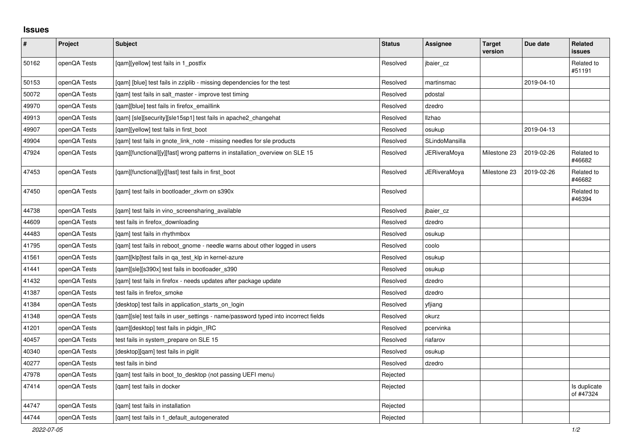## **Issues**

| $\pmb{\#}$ | Project      | <b>Subject</b>                                                                     | <b>Status</b> | <b>Assignee</b>     | <b>Target</b><br>version | Due date   | <b>Related</b><br>issues  |
|------------|--------------|------------------------------------------------------------------------------------|---------------|---------------------|--------------------------|------------|---------------------------|
| 50162      | openQA Tests | [qam][yellow] test fails in 1_postfix                                              | Resolved      | jbaier cz           |                          |            | Related to<br>#51191      |
| 50153      | openQA Tests | [gam] [blue] test fails in zziplib - missing dependencies for the test             | Resolved      | martinsmac          |                          | 2019-04-10 |                           |
| 50072      | openQA Tests | [gam] test fails in salt master - improve test timing                              | Resolved      | pdostal             |                          |            |                           |
| 49970      | openQA Tests | [qam][blue] test fails in firefox_emaillink                                        | Resolved      | dzedro              |                          |            |                           |
| 49913      | openQA Tests | [qam] [sle][security][sle15sp1] test fails in apache2_changehat                    | Resolved      | <b>Ilzhao</b>       |                          |            |                           |
| 49907      | openQA Tests | [qam][yellow] test fails in first_boot                                             | Resolved      | osukup              |                          | 2019-04-13 |                           |
| 49904      | openQA Tests | [qam] test fails in gnote_link_note - missing needles for sle products             | Resolved      | SLindoMansilla      |                          |            |                           |
| 47924      | openQA Tests | [qam][functional][y][fast] wrong patterns in installation_overview on SLE 15       | Resolved      | <b>JERiveraMoya</b> | Milestone 23             | 2019-02-26 | Related to<br>#46682      |
| 47453      | openQA Tests | [gam][functional][y][fast] test fails in first boot                                | Resolved      | JERiveraMoya        | Milestone 23             | 2019-02-26 | Related to<br>#46682      |
| 47450      | openQA Tests | [qam] test fails in bootloader_zkvm on s390x                                       | Resolved      |                     |                          |            | Related to<br>#46394      |
| 44738      | openQA Tests | [gam] test fails in vino screensharing available                                   | Resolved      | jbaier_cz           |                          |            |                           |
| 44609      | openQA Tests | test fails in firefox_downloading                                                  | Resolved      | dzedro              |                          |            |                           |
| 44483      | openQA Tests | [gam] test fails in rhythmbox                                                      | Resolved      | osukup              |                          |            |                           |
| 41795      | openQA Tests | [gam] test fails in reboot gnome - needle warns about other logged in users        | Resolved      | coolo               |                          |            |                           |
| 41561      | openQA Tests | [qam][klp]test fails in qa_test_klp in kernel-azure                                | Resolved      | osukup              |                          |            |                           |
| 41441      | openQA Tests | [qam][sle][s390x] test fails in bootloader_s390                                    | Resolved      | osukup              |                          |            |                           |
| 41432      | openQA Tests | [qam] test fails in firefox - needs updates after package update                   | Resolved      | dzedro              |                          |            |                           |
| 41387      | openQA Tests | test fails in firefox_smoke                                                        | Resolved      | dzedro              |                          |            |                           |
| 41384      | openQA Tests | [desktop] test fails in application_starts_on_login                                | Resolved      | yfjiang             |                          |            |                           |
| 41348      | openQA Tests | [gam][sle] test fails in user settings - name/password typed into incorrect fields | Resolved      | okurz               |                          |            |                           |
| 41201      | openQA Tests | [gam][desktop] test fails in pidgin IRC                                            | Resolved      | pcervinka           |                          |            |                           |
| 40457      | openQA Tests | test fails in system prepare on SLE 15                                             | Resolved      | riafarov            |                          |            |                           |
| 40340      | openQA Tests | [desktop][qam] test fails in piglit                                                | Resolved      | osukup              |                          |            |                           |
| 40277      | openQA Tests | test fails in bind                                                                 | Resolved      | dzedro              |                          |            |                           |
| 47978      | openQA Tests | [qam] test fails in boot_to_desktop (not passing UEFI menu)                        | Rejected      |                     |                          |            |                           |
| 47414      | openQA Tests | [qam] test fails in docker                                                         | Rejected      |                     |                          |            | Is duplicate<br>of #47324 |
| 44747      | openQA Tests | [gam] test fails in installation                                                   | Rejected      |                     |                          |            |                           |
| 44744      | openQA Tests | [gam] test fails in 1 default autogenerated                                        | Rejected      |                     |                          |            |                           |